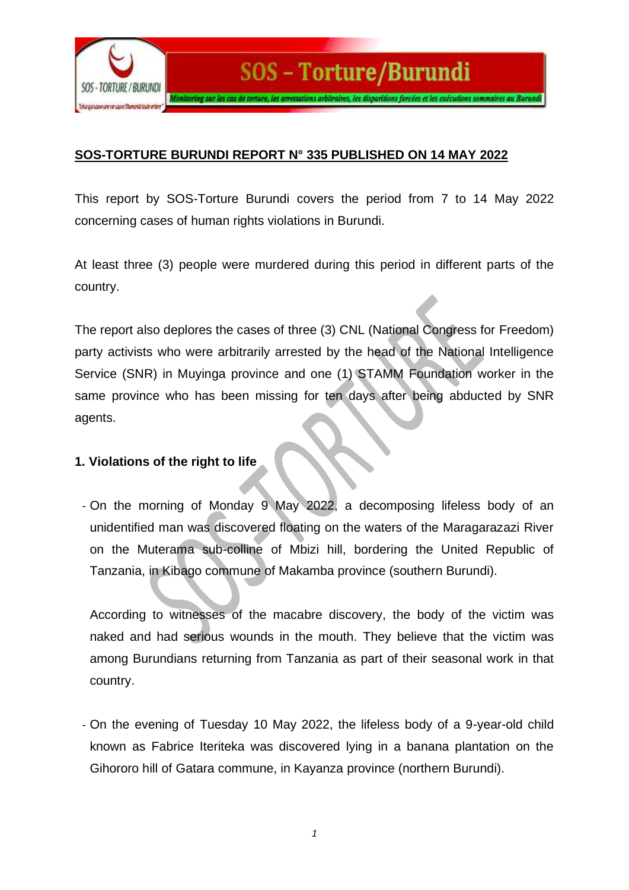

## **SOS-TORTURE BURUNDI REPORT N° 335 PUBLISHED ON 14 MAY 2022**

This report by SOS-Torture Burundi covers the period from 7 to 14 May 2022 concerning cases of human rights violations in Burundi.

At least three (3) people were murdered during this period in different parts of the country.

The report also deplores the cases of three (3) CNL (National Congress for Freedom) party activists who were arbitrarily arrested by the head of the National Intelligence Service (SNR) in Muyinga province and one (1) STAMM Foundation worker in the same province who has been missing for ten days after being abducted by SNR agents.

## **1. Violations of the right to life**

- On the morning of Monday 9 May 2022, a decomposing lifeless body of an unidentified man was discovered floating on the waters of the Maragarazazi River on the Muterama sub-colline of Mbizi hill, bordering the United Republic of Tanzania, in Kibago commune of Makamba province (southern Burundi).

According to witnesses of the macabre discovery, the body of the victim was naked and had serious wounds in the mouth. They believe that the victim was among Burundians returning from Tanzania as part of their seasonal work in that country.

- On the evening of Tuesday 10 May 2022, the lifeless body of a 9-year-old child known as Fabrice Iteriteka was discovered lying in a banana plantation on the Gihororo hill of Gatara commune, in Kayanza province (northern Burundi).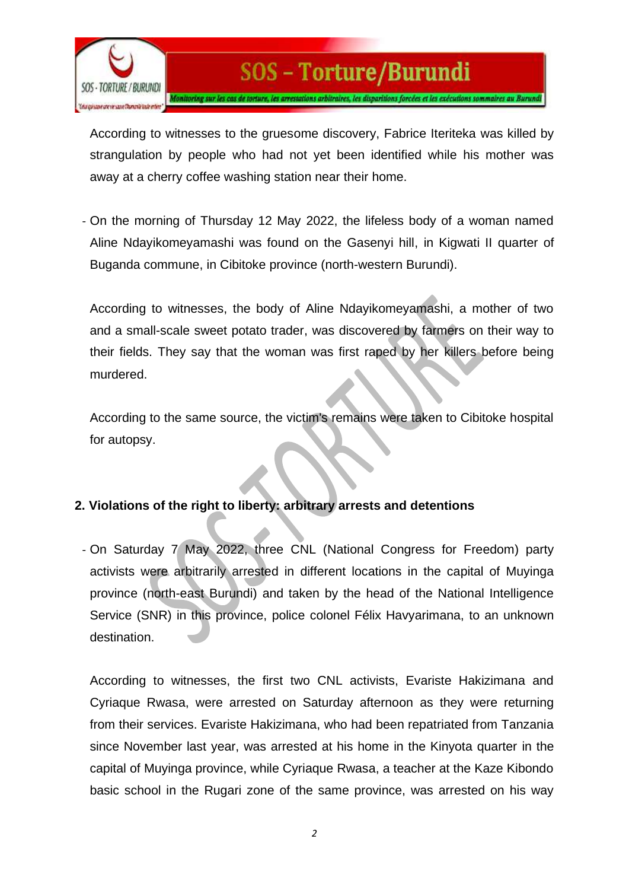

According to witnesses to the gruesome discovery, Fabrice Iteriteka was killed by strangulation by people who had not yet been identified while his mother was away at a cherry coffee washing station near their home.

- On the morning of Thursday 12 May 2022, the lifeless body of a woman named Aline Ndayikomeyamashi was found on the Gasenyi hill, in Kigwati II quarter of Buganda commune, in Cibitoke province (north-western Burundi).

According to witnesses, the body of Aline Ndayikomeyamashi, a mother of two and a small-scale sweet potato trader, was discovered by farmers on their way to their fields. They say that the woman was first raped by her killers before being murdered.

According to the same source, the victim's remains were taken to Cibitoke hospital for autopsy.

## **2. Violations of the right to liberty: arbitrary arrests and detentions**

- On Saturday 7 May 2022, three CNL (National Congress for Freedom) party activists were arbitrarily arrested in different locations in the capital of Muyinga province (north-east Burundi) and taken by the head of the National Intelligence Service (SNR) in this province, police colonel Félix Havyarimana, to an unknown destination.

According to witnesses, the first two CNL activists, Evariste Hakizimana and Cyriaque Rwasa, were arrested on Saturday afternoon as they were returning from their services. Evariste Hakizimana, who had been repatriated from Tanzania since November last year, was arrested at his home in the Kinyota quarter in the capital of Muyinga province, while Cyriaque Rwasa, a teacher at the Kaze Kibondo basic school in the Rugari zone of the same province, was arrested on his way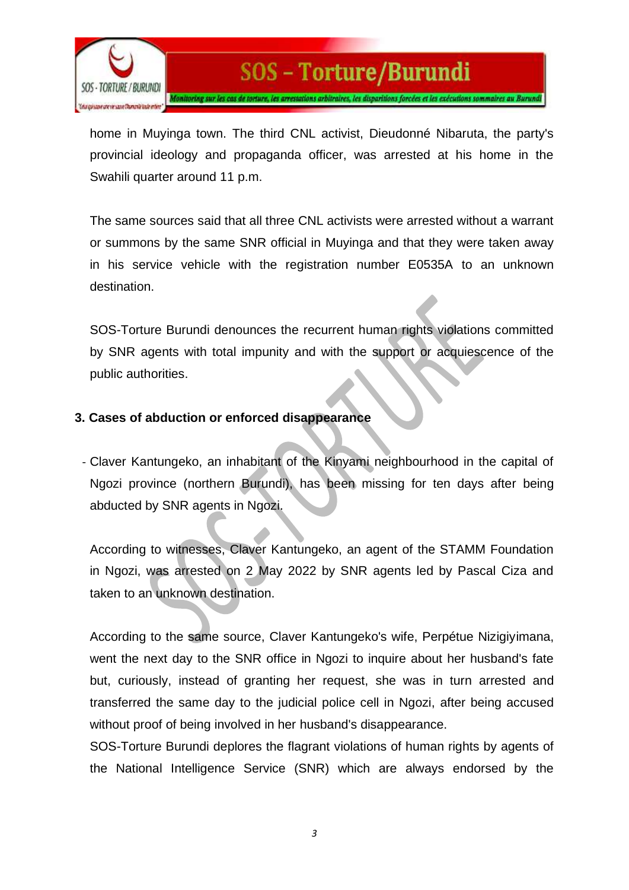

home in Muyinga town. The third CNL activist, Dieudonné Nibaruta, the party's provincial ideology and propaganda officer, was arrested at his home in the Swahili quarter around 11 p.m.

The same sources said that all three CNL activists were arrested without a warrant or summons by the same SNR official in Muyinga and that they were taken away in his service vehicle with the registration number E0535A to an unknown destination.

SOS-Torture Burundi denounces the recurrent human rights violations committed by SNR agents with total impunity and with the support or acquiescence of the public authorities.

## **3. Cases of abduction or enforced disappearance**

- Claver Kantungeko, an inhabitant of the Kinyami neighbourhood in the capital of Ngozi province (northern Burundi), has been missing for ten days after being abducted by SNR agents in Ngozi.

According to witnesses, Claver Kantungeko, an agent of the STAMM Foundation in Ngozi, was arrested on 2 May 2022 by SNR agents led by Pascal Ciza and taken to an unknown destination.

According to the same source, Claver Kantungeko's wife, Perpétue Nizigiyimana, went the next day to the SNR office in Ngozi to inquire about her husband's fate but, curiously, instead of granting her request, she was in turn arrested and transferred the same day to the judicial police cell in Ngozi, after being accused without proof of being involved in her husband's disappearance.

SOS-Torture Burundi deplores the flagrant violations of human rights by agents of the National Intelligence Service (SNR) which are always endorsed by the